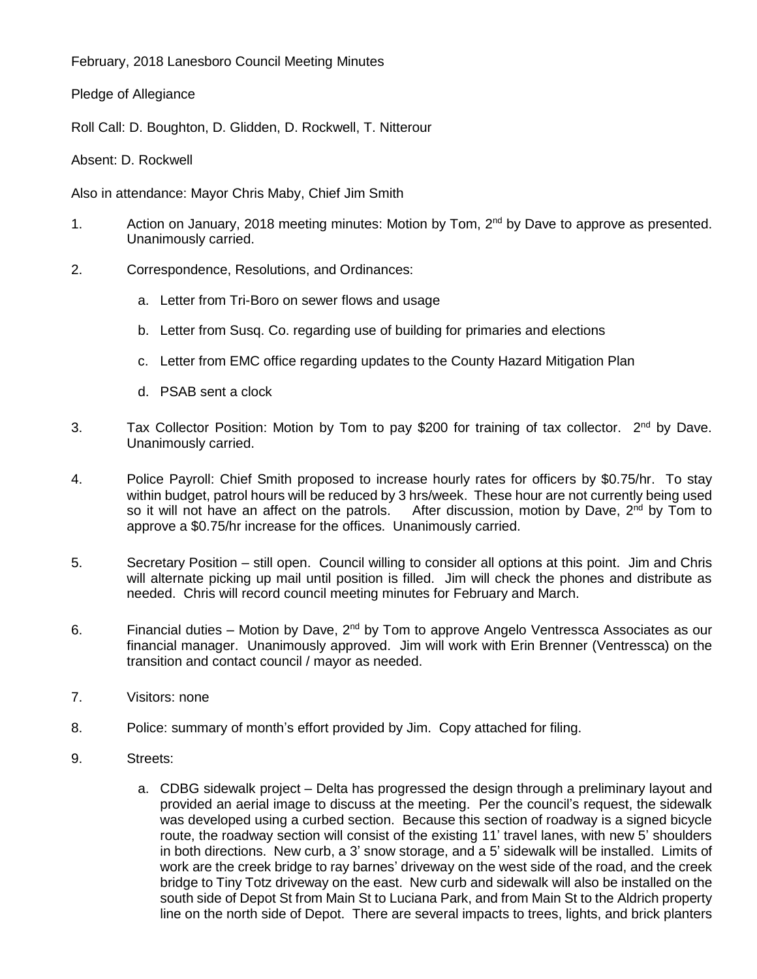February, 2018 Lanesboro Council Meeting Minutes

Pledge of Allegiance

Roll Call: D. Boughton, D. Glidden, D. Rockwell, T. Nitterour

Absent: D. Rockwell

Also in attendance: Mayor Chris Maby, Chief Jim Smith

- 1. Action on January, 2018 meeting minutes: Motion by Tom, 2<sup>nd</sup> by Dave to approve as presented. Unanimously carried.
- 2. Correspondence, Resolutions, and Ordinances:
	- a. Letter from Tri-Boro on sewer flows and usage
	- b. Letter from Susq. Co. regarding use of building for primaries and elections
	- c. Letter from EMC office regarding updates to the County Hazard Mitigation Plan
	- d. PSAB sent a clock
- 3. Tax Collector Position: Motion by Tom to pay \$200 for training of tax collector. 2<sup>nd</sup> by Dave. Unanimously carried.
- 4. Police Payroll: Chief Smith proposed to increase hourly rates for officers by \$0.75/hr. To stay within budget, patrol hours will be reduced by 3 hrs/week. These hour are not currently being used so it will not have an affect on the patrols. After discussion, motion by Dave,  $2^{nd}$  by Tom to approve a \$0.75/hr increase for the offices. Unanimously carried.
- 5. Secretary Position still open. Council willing to consider all options at this point. Jim and Chris will alternate picking up mail until position is filled. Jim will check the phones and distribute as needed. Chris will record council meeting minutes for February and March.
- 6. Financial duties Motion by Dave,  $2^{nd}$  by Tom to approve Angelo Ventressca Associates as our financial manager. Unanimously approved. Jim will work with Erin Brenner (Ventressca) on the transition and contact council / mayor as needed.
- 7. Visitors: none
- 8. Police: summary of month's effort provided by Jim. Copy attached for filing.
- 9. Streets:
	- a. CDBG sidewalk project Delta has progressed the design through a preliminary layout and provided an aerial image to discuss at the meeting. Per the council's request, the sidewalk was developed using a curbed section. Because this section of roadway is a signed bicycle route, the roadway section will consist of the existing 11' travel lanes, with new 5' shoulders in both directions. New curb, a 3' snow storage, and a 5' sidewalk will be installed. Limits of work are the creek bridge to ray barnes' driveway on the west side of the road, and the creek bridge to Tiny Totz driveway on the east. New curb and sidewalk will also be installed on the south side of Depot St from Main St to Luciana Park, and from Main St to the Aldrich property line on the north side of Depot. There are several impacts to trees, lights, and brick planters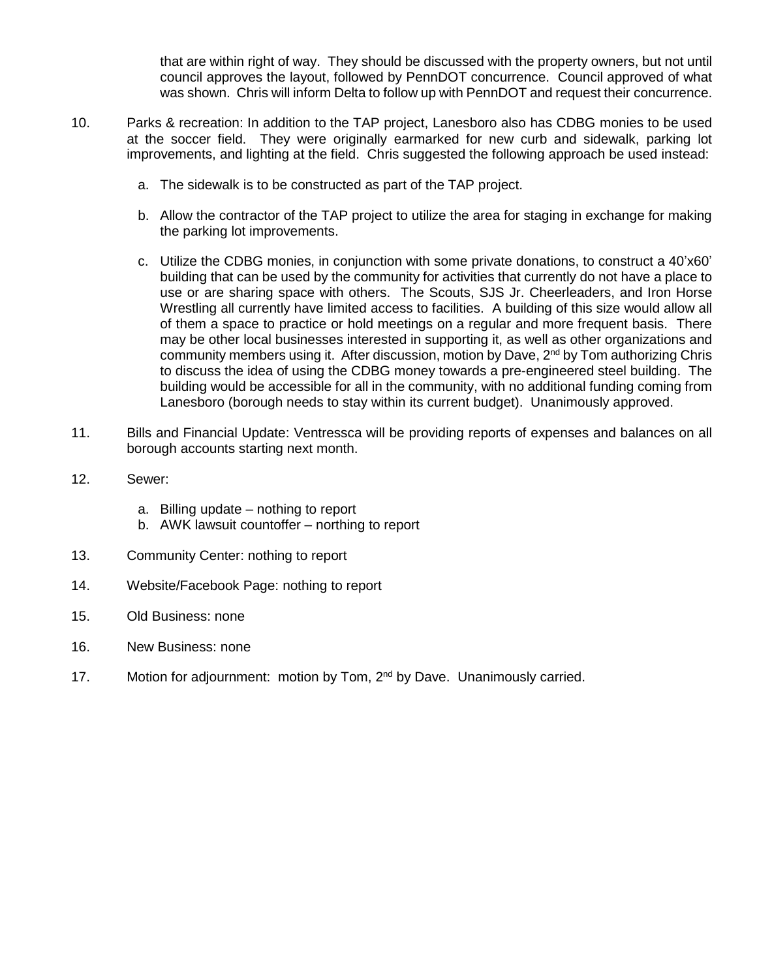that are within right of way. They should be discussed with the property owners, but not until council approves the layout, followed by PennDOT concurrence. Council approved of what was shown. Chris will inform Delta to follow up with PennDOT and request their concurrence.

- 10. Parks & recreation: In addition to the TAP project, Lanesboro also has CDBG monies to be used at the soccer field. They were originally earmarked for new curb and sidewalk, parking lot improvements, and lighting at the field. Chris suggested the following approach be used instead:
	- a. The sidewalk is to be constructed as part of the TAP project.
	- b. Allow the contractor of the TAP project to utilize the area for staging in exchange for making the parking lot improvements.
	- c. Utilize the CDBG monies, in conjunction with some private donations, to construct a 40'x60' building that can be used by the community for activities that currently do not have a place to use or are sharing space with others. The Scouts, SJS Jr. Cheerleaders, and Iron Horse Wrestling all currently have limited access to facilities. A building of this size would allow all of them a space to practice or hold meetings on a regular and more frequent basis. There may be other local businesses interested in supporting it, as well as other organizations and community members using it. After discussion, motion by Dave,  $2<sup>nd</sup>$  by Tom authorizing Chris to discuss the idea of using the CDBG money towards a pre-engineered steel building. The building would be accessible for all in the community, with no additional funding coming from Lanesboro (borough needs to stay within its current budget). Unanimously approved.
- 11. Bills and Financial Update: Ventressca will be providing reports of expenses and balances on all borough accounts starting next month.
- 12. Sewer:
	- a. Billing update nothing to report
	- b. AWK lawsuit countoffer northing to report
- 13. Community Center: nothing to report
- 14. Website/Facebook Page: nothing to report
- 15. Old Business: none
- 16. New Business: none
- 17. Motion for adjournment: motion by Tom, 2<sup>nd</sup> by Dave. Unanimously carried.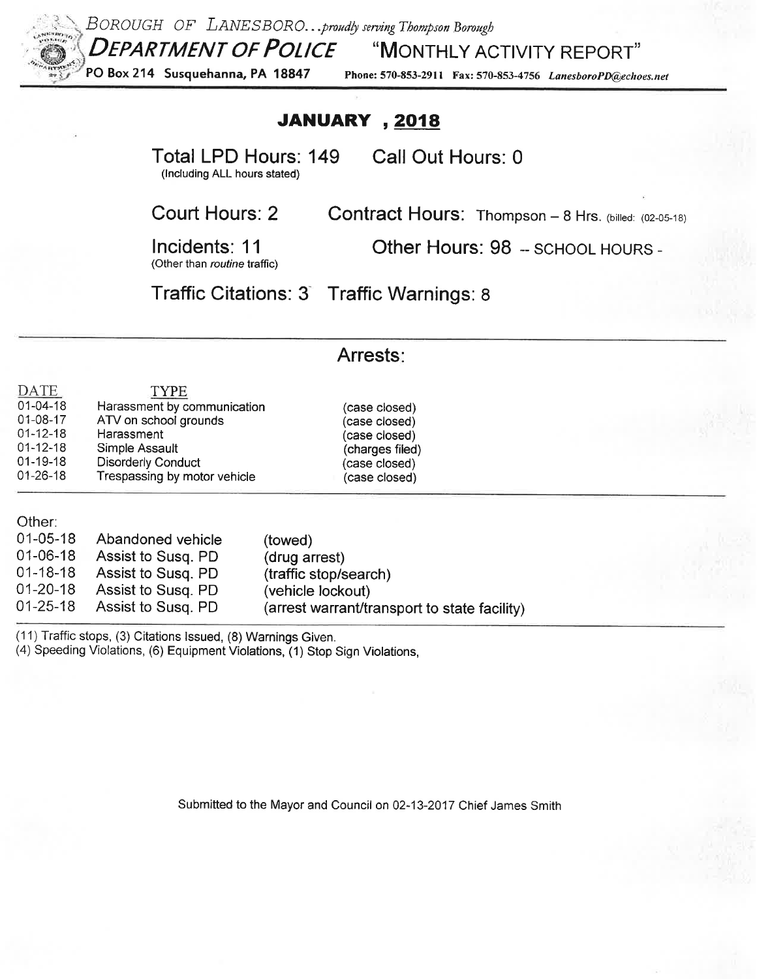

BOROUGH OF LANESBORO... proudly serving Thompson Borough **DEPARTMENT OF POLICE** "MONTHLY ACTIVITY REPORT" PO Box 214 Susquehanna, PA 18847 Phone: 570-853-2911 Fax: 570-853-4756 LanesboroPD@echoes.net

## JANUARY, 2018

Total LPD Hours: 149 Call Out Hours: 0 (Including ALL hours stated)

Court Hours: 2 Contract Hours: Thompson - 8 Hrs. (billed: (02-05-18)

Incidents: 11 (Other than routine traffic) Other Hours: 98 - SCHOOL HOURS -

Traffic Citations: 3 **Traffic Warnings: 8** 

## Arrests:

| DAIL           | I Y PE.                      |                 |  |
|----------------|------------------------------|-----------------|--|
| $01 - 04 - 18$ | Harassment by communication  | (case closed)   |  |
| 01-08-17       | ATV on school grounds        | (case closed)   |  |
| $01 - 12 - 18$ | Harassment                   | (case closed)   |  |
| $01 - 12 - 18$ | Simple Assault               | (charges filed) |  |
| $01 - 19 - 18$ | <b>Disorderly Conduct</b>    | (case closed)   |  |
| $01 - 26 - 18$ | Trespassing by motor vehicle | (case closed)   |  |
|                |                              |                 |  |

Other:

 $T^*$ 

| Abandoned vehicle  | (towed)                                      |
|--------------------|----------------------------------------------|
| Assist to Susg. PD | (drug arrest)                                |
| Assist to Susg. PD | (traffic stop/search)                        |
| Assist to Susg. PD | (vehicle lockout)                            |
| Assist to Susg. PD | (arrest warrant/transport to state facility) |
|                    |                                              |

(11) Traffic stops, (3) Citations Issued, (8) Warnings Given.

(4) Speeding Violations, (6) Equipment Violations, (1) Stop Sign Violations,

Submitted to the Mayor and Council on 02-13-2017 Chief James Smith